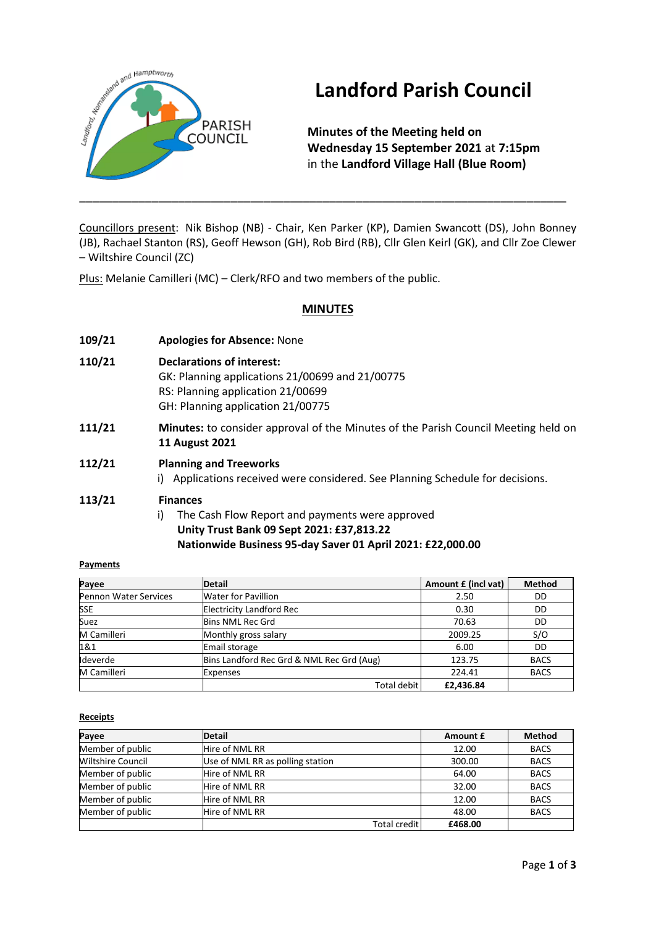

# **Landford Parish Council**

**Minutes of the Meeting held on Wednesday 15 September 2021** at **7:15pm** in the **Landford Village Hall (Blue Room)**

Councillors present: Nik Bishop (NB) - Chair, Ken Parker (KP), Damien Swancott (DS), John Bonney (JB), Rachael Stanton (RS), Geoff Hewson (GH), Rob Bird (RB), Cllr Glen Keirl (GK), and Cllr Zoe Clewer – Wiltshire Council (ZC)

\_\_\_\_\_\_\_\_\_\_\_\_\_\_\_\_\_\_\_\_\_\_\_\_\_\_\_\_\_\_\_\_\_\_\_\_\_\_\_\_\_\_\_\_\_\_\_\_\_\_\_\_\_\_\_\_\_\_\_\_\_\_\_\_\_\_\_\_\_\_\_\_\_\_

Plus: Melanie Camilleri (MC) – Clerk/RFO and two members of the public.

## **MINUTES**

- **109/21 Apologies for Absence:** None
- **110/21 Declarations of interest:**
	- GK: Planning applications 21/00699 and 21/00775 RS: Planning application 21/00699 GH: Planning application 21/00775
- **111/21 Minutes:** to consider approval of the Minutes of the Parish Council Meeting held on **11 August 2021**
- **112/21 Planning and Treeworks** i) Applications received were considered. See Planning Schedule for decisions.

#### **113/21 Finances**

i) The Cash Flow Report and payments were approved **Unity Trust Bank 09 Sept 2021: £37,813.22 Nationwide Business 95-day Saver 01 April 2021: £22,000.00**

#### **Payments**

| Payee                 | <b>Detail</b>                             | Amount £ (incl vat) | <b>Method</b> |
|-----------------------|-------------------------------------------|---------------------|---------------|
| Pennon Water Services | <b>Water for Pavillion</b>                | 2.50                | DD            |
| <b>SSE</b>            | <b>Electricity Landford Rec</b>           | 0.30                | DD            |
| Suez                  | <b>Bins NML Rec Grd</b>                   | 70.63               | DD            |
| M Camilleri           | Monthly gross salary                      | 2009.25             | S/O           |
| 1&1                   | Email storage                             | 6.00                | DD            |
| Ideverde              | Bins Landford Rec Grd & NML Rec Grd (Aug) | 123.75              | <b>BACS</b>   |
| M Camilleri           | <b>Expenses</b>                           | 224.41              | <b>BACS</b>   |
|                       | <b>Total debit</b>                        | £2,436.84           |               |

#### **Receipts**

| Payee                    | Detail                           | Amount £ | <b>Method</b> |
|--------------------------|----------------------------------|----------|---------------|
| Member of public         | Hire of NML RR                   | 12.00    | <b>BACS</b>   |
| <b>Wiltshire Council</b> | Use of NML RR as polling station | 300.00   | <b>BACS</b>   |
| Member of public         | Hire of NML RR                   | 64.00    | <b>BACS</b>   |
| Member of public         | Hire of NML RR                   | 32.00    | <b>BACS</b>   |
| Member of public         | Hire of NML RR                   | 12.00    | <b>BACS</b>   |
| Member of public         | Hire of NML RR                   | 48.00    | <b>BACS</b>   |
|                          | Total credit                     | £468.00  |               |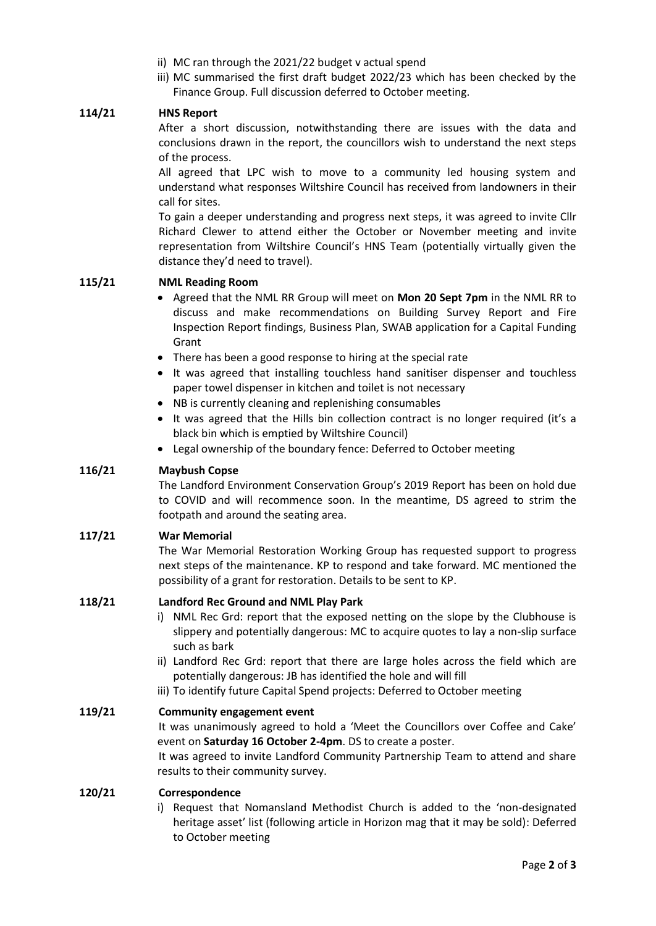- ii) MC ran through the 2021/22 budget v actual spend
- iii) MC summarised the first draft budget 2022/23 which has been checked by the Finance Group. Full discussion deferred to October meeting.

#### **114/21 HNS Report**

After a short discussion, notwithstanding there are issues with the data and conclusions drawn in the report, the councillors wish to understand the next steps of the process.

All agreed that LPC wish to move to a community led housing system and understand what responses Wiltshire Council has received from landowners in their call for sites.

To gain a deeper understanding and progress next steps, it was agreed to invite Cllr Richard Clewer to attend either the October or November meeting and invite representation from Wiltshire Council's HNS Team (potentially virtually given the distance they'd need to travel).

#### **115/21 NML Reading Room**

- Agreed that the NML RR Group will meet on **Mon 20 Sept 7pm** in the NML RR to discuss and make recommendations on Building Survey Report and Fire Inspection Report findings, Business Plan, SWAB application for a Capital Funding Grant
- There has been a good response to hiring at the special rate
- It was agreed that installing touchless hand sanitiser dispenser and touchless paper towel dispenser in kitchen and toilet is not necessary
- NB is currently cleaning and replenishing consumables
- It was agreed that the Hills bin collection contract is no longer required (it's a black bin which is emptied by Wiltshire Council)
- Legal ownership of the boundary fence: Deferred to October meeting

#### **116/21 Maybush Copse**

The Landford Environment Conservation Group's 2019 Report has been on hold due to COVID and will recommence soon. In the meantime, DS agreed to strim the footpath and around the seating area.

#### **117/21 War Memorial**

The War Memorial Restoration Working Group has requested support to progress next steps of the maintenance. KP to respond and take forward. MC mentioned the possibility of a grant for restoration. Details to be sent to KP.

#### **118/21 Landford Rec Ground and NML Play Park**

- i) NML Rec Grd: report that the exposed netting on the slope by the Clubhouse is slippery and potentially dangerous: MC to acquire quotes to lay a non-slip surface such as bark
- ii) Landford Rec Grd: report that there are large holes across the field which are potentially dangerous: JB has identified the hole and will fill
- iii) To identify future Capital Spend projects: Deferred to October meeting

#### **119/21 Community engagement event**

It was unanimously agreed to hold a 'Meet the Councillors over Coffee and Cake' event on **Saturday 16 October 2-4pm**. DS to create a poster.

It was agreed to invite Landford Community Partnership Team to attend and share results to their community survey.

#### **120/21 Correspondence**

i) Request that Nomansland Methodist Church is added to the 'non-designated heritage asset' list (following article in Horizon mag that it may be sold): Deferred to October meeting